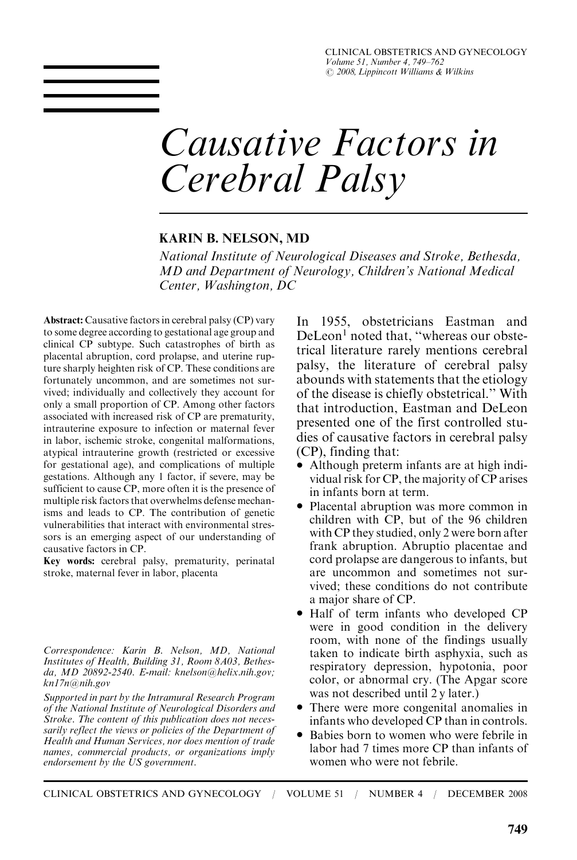CLINICAL OBSTETRICS AND GYNECOLOGY Volume 51, Number 4, 749–762  $\odot$  2008, Lippincott Williams & Wilkins

# Causative Factors in Cerebral Palsy

#### KARIN B. NELSON, MD

National Institute of Neurological Diseases and Stroke, Bethesda, MD and Department of Neurology, Children's National Medical Center, Washington, DC

Abstract: Causative factors in cerebral palsy (CP) vary to some degree according to gestational age group and clinical CP subtype. Such catastrophes of birth as placental abruption, cord prolapse, and uterine rupture sharply heighten risk of CP. These conditions are fortunately uncommon, and are sometimes not survived; individually and collectively they account for only a small proportion of CP. Among other factors associated with increased risk of CP are prematurity, intrauterine exposure to infection or maternal fever in labor, ischemic stroke, congenital malformations, atypical intrauterine growth (restricted or excessive for gestational age), and complications of multiple gestations. Although any 1 factor, if severe, may be sufficient to cause CP, more often it is the presence of multiple risk factors that overwhelms defense mechanisms and leads to CP. The contribution of genetic vulnerabilities that interact with environmental stressors is an emerging aspect of our understanding of causative factors in CP.

Key words: cerebral palsy, prematurity, perinatal stroke, maternal fever in labor, placenta

Correspondence: Karin B. Nelson, MD, National Institutes of Health, Building 31, Room 8A03, Bethesda, MD 20892-2540. E-mail: knelson@helix.nih.gov; kn17n@nih.gov

Supported in part by the Intramural Research Program of the National Institute of Neurological Disorders and Stroke. The content of this publication does not necessarily reflect the views or policies of the Department of Health and Human Services, nor does mention of trade names, commercial products, or organizations imply endorsement by the  $\overline{US}$  government.

In 1955, obstetricians Eastman and DeLeon<sup>1</sup> noted that, "whereas our obstetrical literature rarely mentions cerebral palsy, the literature of cerebral palsy abounds with statements that the etiology of the disease is chiefly obstetrical.'' With that introduction, Eastman and DeLeon presented one of the first controlled studies of causative factors in cerebral palsy (CP), finding that:

- $\ddot{\bullet}$  Although preterm infants are at high individual risk for CP, the majority of CP arises in infants born at term.
- Placental abruption was more common in children with CP, but of the 96 children with CP they studied, only 2 were born after frank abruption. Abruptio placentae and cord prolapse are dangerous to infants, but are uncommon and sometimes not survived; these conditions do not contribute a major share of CP.
- Half of term infants who developed CP were in good condition in the delivery room, with none of the findings usually taken to indicate birth asphyxia, such as respiratory depression, hypotonia, poor color, or abnormal cry. (The Apgar score was not described until 2 y later.)
- $\bullet$  There were more congenital anomalies in infants who developed CP than in controls.
- $\bullet$  Babies born to women who were febrile in labor had 7 times more CP than infants of women who were not febrile.

CLINICAL OBSTETRICS AND GYNECOLOGY / VOLUME 51 / NUMBER 4 / DECEMBER 2008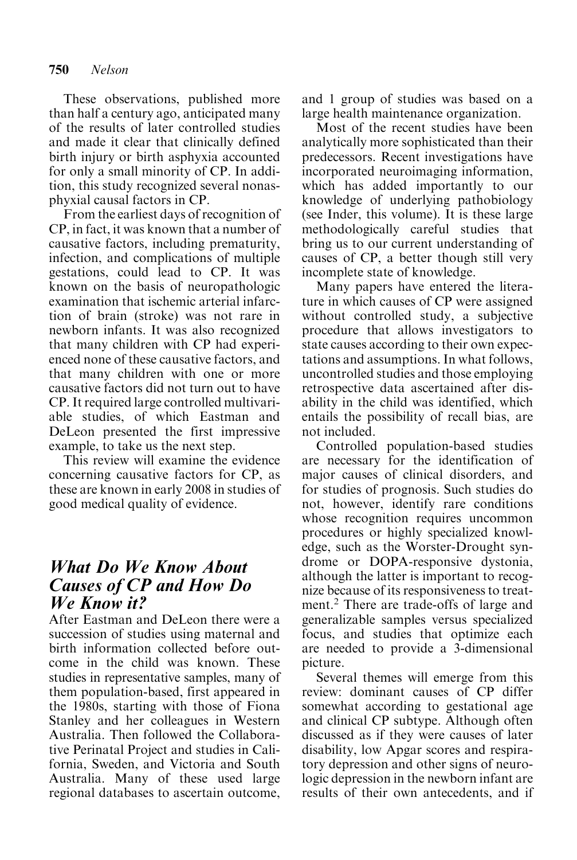These observations, published more than half a century ago, anticipated many of the results of later controlled studies and made it clear that clinically defined birth injury or birth asphyxia accounted for only a small minority of CP. In addition, this study recognized several nonasphyxial causal factors in CP.

From the earliest days of recognition of CP, in fact, it was known that a number of causative factors, including prematurity, infection, and complications of multiple gestations, could lead to CP. It was known on the basis of neuropathologic examination that ischemic arterial infarction of brain (stroke) was not rare in newborn infants. It was also recognized that many children with CP had experienced none of these causative factors, and that many children with one or more causative factors did not turn out to have CP. It required large controlled multivariable studies, of which Eastman and DeLeon presented the first impressive example, to take us the next step.

This review will examine the evidence concerning causative factors for CP, as these are known in early 2008 in studies of good medical quality of evidence.

## What Do We Know About Causes of CP and How Do We Know it?

After Eastman and DeLeon there were a succession of studies using maternal and birth information collected before outcome in the child was known. These studies in representative samples, many of them population-based, first appeared in the 1980s, starting with those of Fiona Stanley and her colleagues in Western Australia. Then followed the Collaborative Perinatal Project and studies in California, Sweden, and Victoria and South Australia. Many of these used large regional databases to ascertain outcome, and 1 group of studies was based on a large health maintenance organization.

Most of the recent studies have been analytically more sophisticated than their predecessors. Recent investigations have incorporated neuroimaging information, which has added importantly to our knowledge of underlying pathobiology (see Inder, this volume). It is these large methodologically careful studies that bring us to our current understanding of causes of CP, a better though still very incomplete state of knowledge.

Many papers have entered the literature in which causes of CP were assigned without controlled study, a subjective procedure that allows investigators to state causes according to their own expectations and assumptions. In what follows, uncontrolled studies and those employing retrospective data ascertained after disability in the child was identified, which entails the possibility of recall bias, are not included.

Controlled population-based studies are necessary for the identification of major causes of clinical disorders, and for studies of prognosis. Such studies do not, however, identify rare conditions whose recognition requires uncommon procedures or highly specialized knowledge, such as the Worster-Drought syndrome or DOPA-responsive dystonia, although the latter is important to recognize because of its responsiveness to treatment.<sup>2</sup> There are trade-offs of large and generalizable samples versus specialized focus, and studies that optimize each are needed to provide a 3-dimensional picture.

Several themes will emerge from this review: dominant causes of CP differ somewhat according to gestational age and clinical CP subtype. Although often discussed as if they were causes of later disability, low Apgar scores and respiratory depression and other signs of neurologic depression in the newborn infant are results of their own antecedents, and if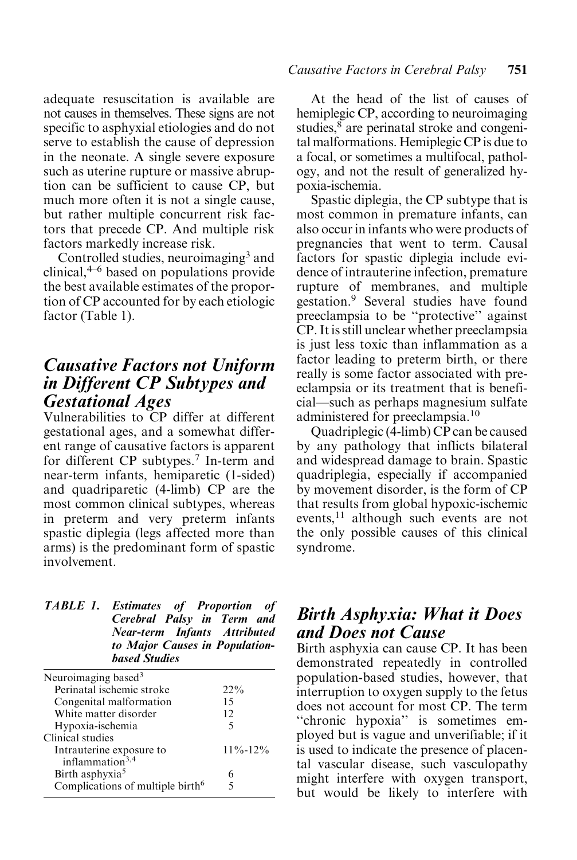adequate resuscitation is available are not causes in themselves. These signs are not specific to asphyxial etiologies and do not serve to establish the cause of depression in the neonate. A single severe exposure such as uterine rupture or massive abruption can be sufficient to cause CP, but much more often it is not a single cause, but rather multiple concurrent risk factors that precede CP. And multiple risk factors markedly increase risk.

Controlled studies, neuroimaging<sup>3</sup> and clinical, $4-6$  based on populations provide the best available estimates of the proportion of CP accounted for by each etiologic factor (Table 1).

#### Causative Factors not Uniform in Different CP Subtypes and Gestational Ages

Vulnerabilities to CP differ at different gestational ages, and a somewhat different range of causative factors is apparent for different CP subtypes.<sup>7</sup> In-term and near-term infants, hemiparetic (1-sided) and quadriparetic (4-limb) CP are the most common clinical subtypes, whereas in preterm and very preterm infants spastic diplegia (legs affected more than arms) is the predominant form of spastic involvement.

| <b>TABLE 1. Estimates of Proportion of</b> |  |
|--------------------------------------------|--|
| Cerebral Palsy in Term and                 |  |
| Near-term Infants Attributed               |  |
| to Major Causes in Population-             |  |
| <b>based Studies</b>                       |  |

| Neuroimaging based $3$                       |               |
|----------------------------------------------|---------------|
| Perinatal ischemic stroke                    | $22\%$        |
| Congenital malformation                      | 15            |
| White matter disorder                        | 12            |
| Hypoxia-ischemia                             | 5             |
| Clinical studies                             |               |
| Intrauterine exposure to                     | $11\% - 12\%$ |
| inflammation <sup>3,4</sup>                  |               |
| Birth asphyxia <sup>5</sup>                  |               |
| Complications of multiple birth <sup>6</sup> |               |
|                                              |               |

#### Causative Factors in Cerebral Palsy 751

At the head of the list of causes of hemiplegic CP, according to neuroimaging studies,<sup>8</sup> are perinatal stroke and congenital malformations. Hemiplegic CP is due to a focal, or sometimes a multifocal, pathology, and not the result of generalized hypoxia-ischemia.

Spastic diplegia, the CP subtype that is most common in premature infants, can also occur in infants who were products of pregnancies that went to term. Causal factors for spastic diplegia include evidence of intrauterine infection, premature rupture of membranes, and multiple gestation.<sup>9</sup> Several studies have found preeclampsia to be ''protective'' against CP. It is still unclear whether preeclampsia is just less toxic than inflammation as a factor leading to preterm birth, or there really is some factor associated with preeclampsia or its treatment that is beneficial—such as perhaps magnesium sulfate administered for preeclampsia.10

Quadriplegic (4-limb) CP can be caused by any pathology that inflicts bilateral and widespread damage to brain. Spastic quadriplegia, especially if accompanied by movement disorder, is the form of CP that results from global hypoxic-ischemic events,<sup>11</sup> although such events are not the only possible causes of this clinical syndrome.

#### Birth Asphyxia: What it Does and Does not Cause

Birth asphyxia can cause CP. It has been demonstrated repeatedly in controlled population-based studies, however, that interruption to oxygen supply to the fetus does not account for most CP. The term "chronic hypoxia" is sometimes employed but is vague and unverifiable; if it is used to indicate the presence of placental vascular disease, such vasculopathy might interfere with oxygen transport, but would be likely to interfere with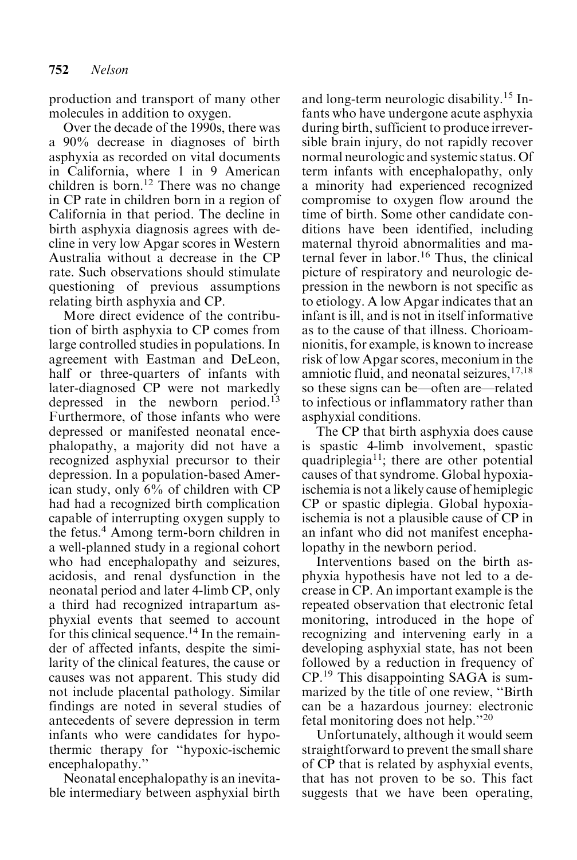production and transport of many other molecules in addition to oxygen.

Over the decade of the 1990s, there was a 90% decrease in diagnoses of birth asphyxia as recorded on vital documents in California, where 1 in 9 American children is born.<sup>12</sup> There was no change in CP rate in children born in a region of California in that period. The decline in birth asphyxia diagnosis agrees with decline in very low Apgar scores in Western Australia without a decrease in the CP rate. Such observations should stimulate questioning of previous assumptions relating birth asphyxia and CP.

More direct evidence of the contribution of birth asphyxia to CP comes from large controlled studies in populations. In agreement with Eastman and DeLeon, half or three-quarters of infants with later-diagnosed CP were not markedly depressed in the newborn period.13 Furthermore, of those infants who were depressed or manifested neonatal encephalopathy, a majority did not have a recognized asphyxial precursor to their depression. In a population-based American study, only 6% of children with CP had had a recognized birth complication capable of interrupting oxygen supply to the fetus.4 Among term-born children in a well-planned study in a regional cohort who had encephalopathy and seizures, acidosis, and renal dysfunction in the neonatal period and later 4-limb CP, only a third had recognized intrapartum asphyxial events that seemed to account for this clinical sequence.<sup>14</sup> In the remainder of affected infants, despite the similarity of the clinical features, the cause or causes was not apparent. This study did not include placental pathology. Similar findings are noted in several studies of antecedents of severe depression in term infants who were candidates for hypothermic therapy for ''hypoxic-ischemic encephalopathy.''

Neonatal encephalopathy is an inevitable intermediary between asphyxial birth and long-term neurologic disability.<sup>15</sup> Infants who have undergone acute asphyxia during birth, sufficient to produce irreversible brain injury, do not rapidly recover normal neurologic and systemic status. Of term infants with encephalopathy, only a minority had experienced recognized compromise to oxygen flow around the time of birth. Some other candidate conditions have been identified, including maternal thyroid abnormalities and maternal fever in labor.<sup>16</sup> Thus, the clinical picture of respiratory and neurologic depression in the newborn is not specific as to etiology. A low Apgar indicates that an infant is ill, and is not in itself informative as to the cause of that illness. Chorioamnionitis, for example, is known to increase risk of low Apgar scores, meconium in the amniotic fluid, and neonatal seizures,  $17,18$ so these signs can be—often are—related to infectious or inflammatory rather than asphyxial conditions.

The CP that birth asphyxia does cause is spastic 4-limb involvement, spastic quadriplegia<sup>11</sup>; there are other potential causes of that syndrome. Global hypoxiaischemia is not a likely cause of hemiplegic CP or spastic diplegia. Global hypoxiaischemia is not a plausible cause of CP in an infant who did not manifest encephalopathy in the newborn period.

Interventions based on the birth asphyxia hypothesis have not led to a decrease in CP. An important example is the repeated observation that electronic fetal monitoring, introduced in the hope of recognizing and intervening early in a developing asphyxial state, has not been followed by a reduction in frequency of CP.<sup>19</sup> This disappointing SAGA is summarized by the title of one review, ''Birth can be a hazardous journey: electronic fetal monitoring does not help.''<sup>20</sup>

Unfortunately, although it would seem straightforward to prevent the small share of CP that is related by asphyxial events, that has not proven to be so. This fact suggests that we have been operating,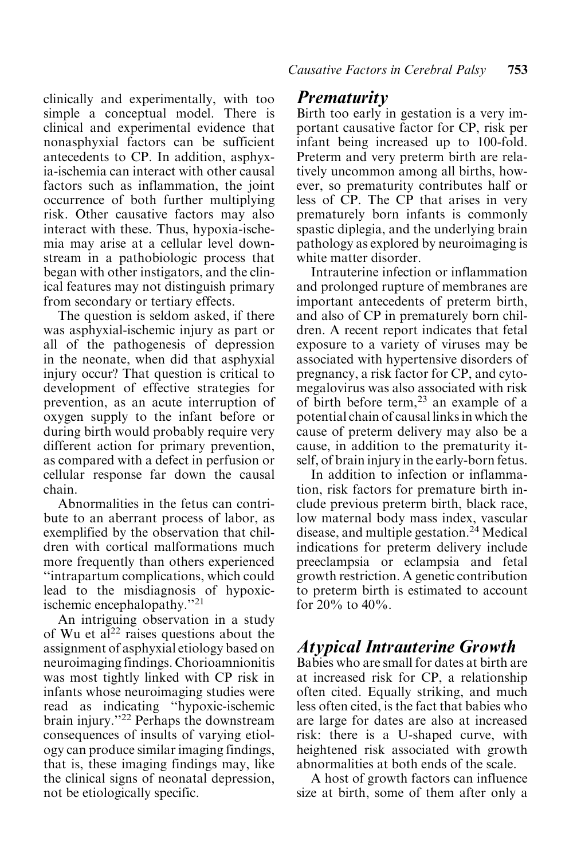clinically and experimentally, with too simple a conceptual model. There is clinical and experimental evidence that nonasphyxial factors can be sufficient antecedents to CP. In addition, asphyxia-ischemia can interact with other causal factors such as inflammation, the joint occurrence of both further multiplying risk. Other causative factors may also interact with these. Thus, hypoxia-ischemia may arise at a cellular level downstream in a pathobiologic process that began with other instigators, and the clinical features may not distinguish primary from secondary or tertiary effects.

The question is seldom asked, if there was asphyxial-ischemic injury as part or all of the pathogenesis of depression in the neonate, when did that asphyxial injury occur? That question is critical to development of effective strategies for prevention, as an acute interruption of oxygen supply to the infant before or during birth would probably require very different action for primary prevention, as compared with a defect in perfusion or cellular response far down the causal chain.

Abnormalities in the fetus can contribute to an aberrant process of labor, as exemplified by the observation that children with cortical malformations much more frequently than others experienced ''intrapartum complications, which could lead to the misdiagnosis of hypoxicischemic encephalopathy.<sup>"21</sup>

An intriguing observation in a study of Wu et al<sup>22</sup> raises questions about the assignment of asphyxial etiology based on neuroimaging findings. Chorioamnionitis was most tightly linked with CP risk in infants whose neuroimaging studies were read as indicating ''hypoxic-ischemic brain injury."<sup>22</sup> Perhaps the downstream consequences of insults of varying etiology can produce similar imaging findings, that is, these imaging findings may, like the clinical signs of neonatal depression, not be etiologically specific.

#### Prematurity

Birth too early in gestation is a very important causative factor for CP, risk per infant being increased up to 100-fold. Preterm and very preterm birth are relatively uncommon among all births, however, so prematurity contributes half or less of CP. The CP that arises in very prematurely born infants is commonly spastic diplegia, and the underlying brain pathology as explored by neuroimaging is white matter disorder.

Intrauterine infection or inflammation and prolonged rupture of membranes are important antecedents of preterm birth, and also of CP in prematurely born children. A recent report indicates that fetal exposure to a variety of viruses may be associated with hypertensive disorders of pregnancy, a risk factor for CP, and cytomegalovirus was also associated with risk of birth before term,<sup>23</sup> an example of a potential chain of causal links in which the cause of preterm delivery may also be a cause, in addition to the prematurity itself, of brain injury in the early-born fetus.

In addition to infection or inflammation, risk factors for premature birth include previous preterm birth, black race, low maternal body mass index, vascular disease, and multiple gestation.24 Medical indications for preterm delivery include preeclampsia or eclampsia and fetal growth restriction. A genetic contribution to preterm birth is estimated to account for  $20\%$  to  $40\%$ .

## Atypical Intrauterine Growth

Babies who are small for dates at birth are at increased risk for CP, a relationship often cited. Equally striking, and much less often cited, is the fact that babies who are large for dates are also at increased risk: there is a U-shaped curve, with heightened risk associated with growth abnormalities at both ends of the scale.

A host of growth factors can influence size at birth, some of them after only a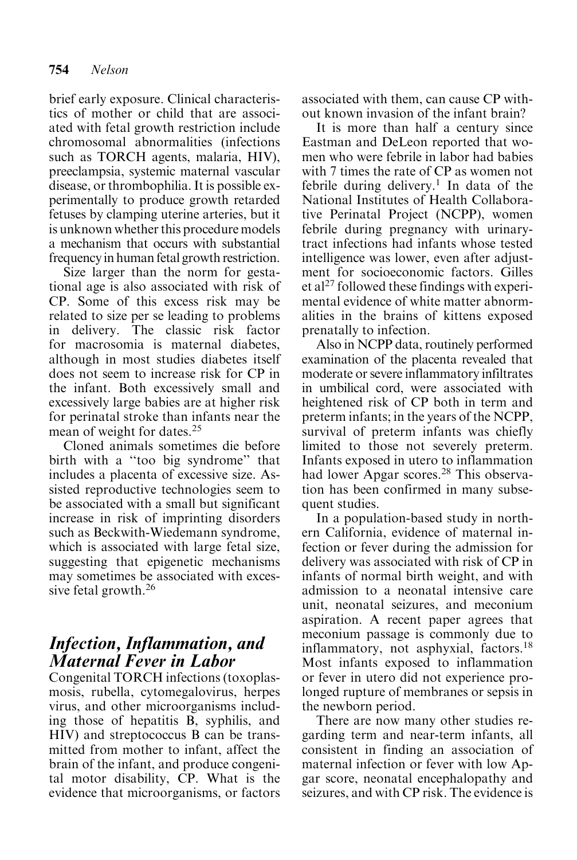brief early exposure. Clinical characteristics of mother or child that are associated with fetal growth restriction include chromosomal abnormalities (infections such as TORCH agents, malaria, HIV), preeclampsia, systemic maternal vascular disease, or thrombophilia. It is possible experimentally to produce growth retarded fetuses by clamping uterine arteries, but it is unknown whether this procedure models a mechanism that occurs with substantial frequency in human fetal growth restriction.

Size larger than the norm for gestational age is also associated with risk of CP. Some of this excess risk may be related to size per se leading to problems in delivery. The classic risk factor for macrosomia is maternal diabetes, although in most studies diabetes itself does not seem to increase risk for CP in the infant. Both excessively small and excessively large babies are at higher risk for perinatal stroke than infants near the mean of weight for dates.25

Cloned animals sometimes die before birth with a ''too big syndrome'' that includes a placenta of excessive size. Assisted reproductive technologies seem to be associated with a small but significant increase in risk of imprinting disorders such as Beckwith-Wiedemann syndrome, which is associated with large fetal size, suggesting that epigenetic mechanisms may sometimes be associated with excessive fetal growth.<sup>26</sup>

## Infection, Inflammation, and Maternal Fever in Labor

Congenital TORCH infections (toxoplasmosis, rubella, cytomegalovirus, herpes virus, and other microorganisms including those of hepatitis B, syphilis, and HIV) and streptococcus B can be transmitted from mother to infant, affect the brain of the infant, and produce congenital motor disability, CP. What is the evidence that microorganisms, or factors associated with them, can cause CP without known invasion of the infant brain?

It is more than half a century since Eastman and DeLeon reported that women who were febrile in labor had babies with 7 times the rate of CP as women not febrile during delivery.<sup>1</sup> In data of the National Institutes of Health Collaborative Perinatal Project (NCPP), women febrile during pregnancy with urinarytract infections had infants whose tested intelligence was lower, even after adjustment for socioeconomic factors. Gilles et al<sup>27</sup> followed these findings with experimental evidence of white matter abnormalities in the brains of kittens exposed prenatally to infection.

Also in NCPP data, routinely performed examination of the placenta revealed that moderate or severe inflammatory infiltrates in umbilical cord, were associated with heightened risk of CP both in term and preterm infants; in the years of the NCPP, survival of preterm infants was chiefly limited to those not severely preterm. Infants exposed in utero to inflammation had lower Apgar scores.<sup>28</sup> This observation has been confirmed in many subsequent studies.

In a population-based study in northern California, evidence of maternal infection or fever during the admission for delivery was associated with risk of CP in infants of normal birth weight, and with admission to a neonatal intensive care unit, neonatal seizures, and meconium aspiration. A recent paper agrees that meconium passage is commonly due to inflammatory, not asphyxial, factors.18 Most infants exposed to inflammation or fever in utero did not experience prolonged rupture of membranes or sepsis in the newborn period.

There are now many other studies regarding term and near-term infants, all consistent in finding an association of maternal infection or fever with low Apgar score, neonatal encephalopathy and seizures, and with CP risk. The evidence is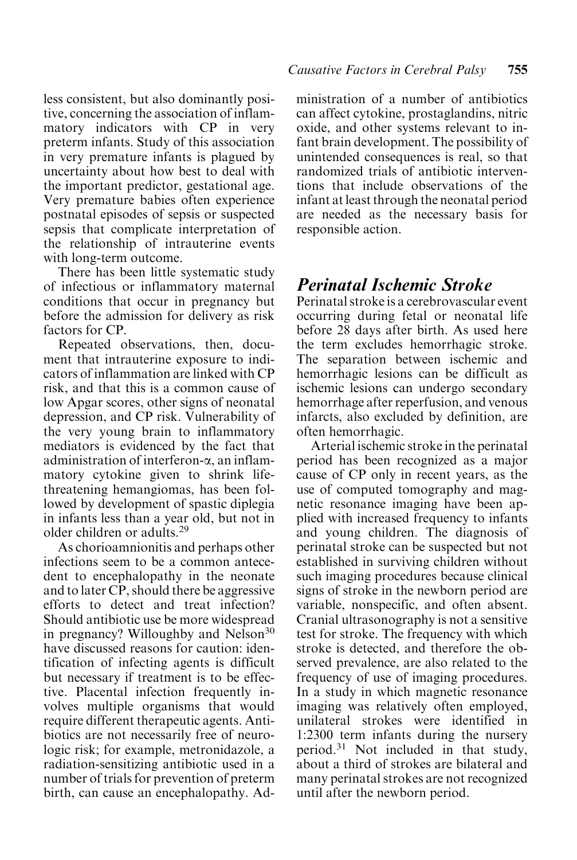less consistent, but also dominantly positive, concerning the association of inflammatory indicators with CP in very preterm infants. Study of this association in very premature infants is plagued by uncertainty about how best to deal with the important predictor, gestational age. Very premature babies often experience postnatal episodes of sepsis or suspected sepsis that complicate interpretation of the relationship of intrauterine events with long-term outcome.

There has been little systematic study of infectious or inflammatory maternal conditions that occur in pregnancy but before the admission for delivery as risk factors for CP.

Repeated observations, then, document that intrauterine exposure to indicators of inflammation are linked with CP risk, and that this is a common cause of low Apgar scores, other signs of neonatal depression, and CP risk. Vulnerability of the very young brain to inflammatory mediators is evidenced by the fact that administration of interferon-a, an inflammatory cytokine given to shrink lifethreatening hemangiomas, has been followed by development of spastic diplegia in infants less than a year old, but not in older children or adults.29

As chorioamnionitis and perhaps other infections seem to be a common antecedent to encephalopathy in the neonate and to later CP, should there be aggressive efforts to detect and treat infection? Should antibiotic use be more widespread in pregnancy? Willoughby and Nelson<sup>30</sup> have discussed reasons for caution: identification of infecting agents is difficult but necessary if treatment is to be effective. Placental infection frequently involves multiple organisms that would require different therapeutic agents. Antibiotics are not necessarily free of neurologic risk; for example, metronidazole, a radiation-sensitizing antibiotic used in a number of trials for prevention of preterm birth, can cause an encephalopathy. Administration of a number of antibiotics can affect cytokine, prostaglandins, nitric oxide, and other systems relevant to infant brain development. The possibility of unintended consequences is real, so that randomized trials of antibiotic interventions that include observations of the infant at least through the neonatal period are needed as the necessary basis for responsible action.

# Perinatal Ischemic Stroke

Perinatal stroke is a cerebrovascular event occurring during fetal or neonatal life before 28 days after birth. As used here the term excludes hemorrhagic stroke. The separation between ischemic and hemorrhagic lesions can be difficult as ischemic lesions can undergo secondary hemorrhage after reperfusion, and venous infarcts, also excluded by definition, are often hemorrhagic.

Arterial ischemic stroke in the perinatal period has been recognized as a major cause of CP only in recent years, as the use of computed tomography and magnetic resonance imaging have been applied with increased frequency to infants and young children. The diagnosis of perinatal stroke can be suspected but not established in surviving children without such imaging procedures because clinical signs of stroke in the newborn period are variable, nonspecific, and often absent. Cranial ultrasonography is not a sensitive test for stroke. The frequency with which stroke is detected, and therefore the observed prevalence, are also related to the frequency of use of imaging procedures. In a study in which magnetic resonance imaging was relatively often employed, unilateral strokes were identified in 1:2300 term infants during the nursery period.<sup>31</sup> Not included in that study, about a third of strokes are bilateral and many perinatal strokes are not recognized until after the newborn period.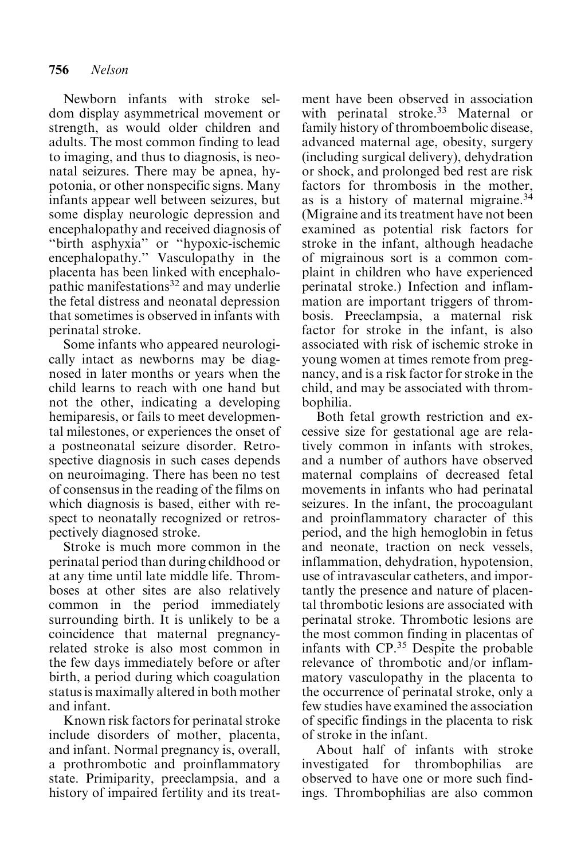Newborn infants with stroke seldom display asymmetrical movement or strength, as would older children and adults. The most common finding to lead to imaging, and thus to diagnosis, is neonatal seizures. There may be apnea, hypotonia, or other nonspecific signs. Many infants appear well between seizures, but some display neurologic depression and encephalopathy and received diagnosis of ''birth asphyxia'' or ''hypoxic-ischemic encephalopathy.'' Vasculopathy in the placenta has been linked with encephalopathic manifestations<sup>32</sup> and may underlie the fetal distress and neonatal depression that sometimes is observed in infants with perinatal stroke.

Some infants who appeared neurologically intact as newborns may be diagnosed in later months or years when the child learns to reach with one hand but not the other, indicating a developing hemiparesis, or fails to meet developmental milestones, or experiences the onset of a postneonatal seizure disorder. Retrospective diagnosis in such cases depends on neuroimaging. There has been no test of consensus in the reading of the films on which diagnosis is based, either with respect to neonatally recognized or retrospectively diagnosed stroke.

Stroke is much more common in the perinatal period than during childhood or at any time until late middle life. Thromboses at other sites are also relatively common in the period immediately surrounding birth. It is unlikely to be a coincidence that maternal pregnancyrelated stroke is also most common in the few days immediately before or after birth, a period during which coagulation status is maximally altered in both mother and infant.

Known risk factors for perinatal stroke include disorders of mother, placenta, and infant. Normal pregnancy is, overall, a prothrombotic and proinflammatory state. Primiparity, preeclampsia, and a history of impaired fertility and its treatment have been observed in association with perinatal stroke.<sup>33</sup> Maternal or family history of thromboembolic disease, advanced maternal age, obesity, surgery (including surgical delivery), dehydration or shock, and prolonged bed rest are risk factors for thrombosis in the mother, as is a history of maternal migraine.34 (Migraine and its treatment have not been examined as potential risk factors for stroke in the infant, although headache of migrainous sort is a common complaint in children who have experienced perinatal stroke.) Infection and inflammation are important triggers of thrombosis. Preeclampsia, a maternal risk factor for stroke in the infant, is also associated with risk of ischemic stroke in young women at times remote from pregnancy, and is a risk factor for stroke in the child, and may be associated with thrombophilia.

Both fetal growth restriction and excessive size for gestational age are relatively common in infants with strokes, and a number of authors have observed maternal complains of decreased fetal movements in infants who had perinatal seizures. In the infant, the procoagulant and proinflammatory character of this period, and the high hemoglobin in fetus and neonate, traction on neck vessels, inflammation, dehydration, hypotension, use of intravascular catheters, and importantly the presence and nature of placental thrombotic lesions are associated with perinatal stroke. Thrombotic lesions are the most common finding in placentas of infants with CP.<sup>35</sup> Despite the probable relevance of thrombotic and/or inflammatory vasculopathy in the placenta to the occurrence of perinatal stroke, only a few studies have examined the association of specific findings in the placenta to risk of stroke in the infant.

About half of infants with stroke investigated for thrombophilias are observed to have one or more such findings. Thrombophilias are also common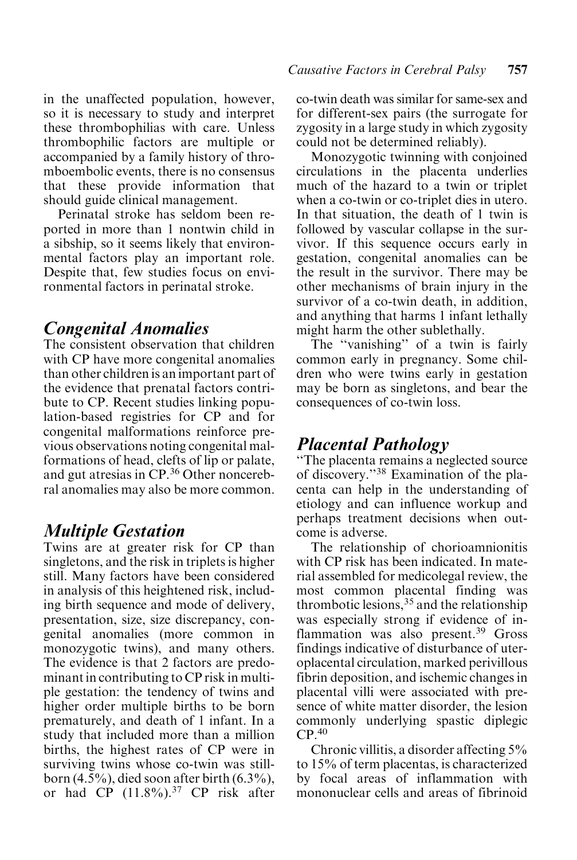in the unaffected population, however, so it is necessary to study and interpret these thrombophilias with care. Unless thrombophilic factors are multiple or accompanied by a family history of thromboembolic events, there is no consensus that these provide information that should guide clinical management.

Perinatal stroke has seldom been reported in more than 1 nontwin child in a sibship, so it seems likely that environmental factors play an important role. Despite that, few studies focus on environmental factors in perinatal stroke.

#### Congenital Anomalies

The consistent observation that children with CP have more congenital anomalies than other children is an important part of the evidence that prenatal factors contribute to CP. Recent studies linking population-based registries for CP and for congenital malformations reinforce previous observations noting congenital malformations of head, clefts of lip or palate, and gut atresias in CP.<sup>36</sup> Other noncerebral anomalies may also be more common.

## Multiple Gestation

Twins are at greater risk for CP than singletons, and the risk in triplets is higher still. Many factors have been considered in analysis of this heightened risk, including birth sequence and mode of delivery, presentation, size, size discrepancy, congenital anomalies (more common in monozygotic twins), and many others. The evidence is that 2 factors are predominant in contributing to CP risk in multiple gestation: the tendency of twins and higher order multiple births to be born prematurely, and death of 1 infant. In a study that included more than a million births, the highest rates of CP were in surviving twins whose co-twin was stillborn  $(4.5\%)$ , died soon after birth  $(6.3\%)$ , or had  $CP$  (11.8%).<sup>37</sup> CP risk after co-twin death was similar for same-sex and for different-sex pairs (the surrogate for zygosity in a large study in which zygosity could not be determined reliably).

Monozygotic twinning with conjoined circulations in the placenta underlies much of the hazard to a twin or triplet when a co-twin or co-triplet dies in utero. In that situation, the death of 1 twin is followed by vascular collapse in the survivor. If this sequence occurs early in gestation, congenital anomalies can be the result in the survivor. There may be other mechanisms of brain injury in the survivor of a co-twin death, in addition, and anything that harms 1 infant lethally might harm the other sublethally.

The "vanishing" of a twin is fairly common early in pregnancy. Some children who were twins early in gestation may be born as singletons, and bear the consequences of co-twin loss.

# Placental Pathology

''The placenta remains a neglected source of discovery.''38 Examination of the placenta can help in the understanding of etiology and can influence workup and perhaps treatment decisions when outcome is adverse.

The relationship of chorioamnionitis with CP risk has been indicated. In material assembled for medicolegal review, the most common placental finding was thrombotic lesions,  $35$  and the relationship was especially strong if evidence of inflammation was also present. $39$  Gross findings indicative of disturbance of uteroplacental circulation, marked perivillous fibrin deposition, and ischemic changes in placental villi were associated with presence of white matter disorder, the lesion commonly underlying spastic diplegic  $CP<sup>40</sup>$ 

Chronic villitis, a disorder affecting 5% to 15% of term placentas, is characterized by focal areas of inflammation with mononuclear cells and areas of fibrinoid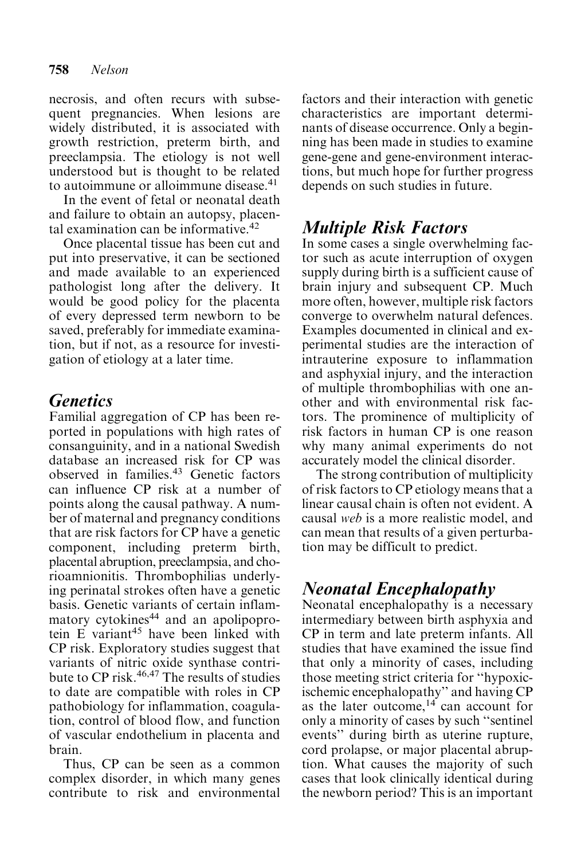necrosis, and often recurs with subsequent pregnancies. When lesions are widely distributed, it is associated with growth restriction, preterm birth, and preeclampsia. The etiology is not well understood but is thought to be related to autoimmune or alloimmune disease.41

In the event of fetal or neonatal death and failure to obtain an autopsy, placental examination can be informative. $42$ 

Once placental tissue has been cut and put into preservative, it can be sectioned and made available to an experienced pathologist long after the delivery. It would be good policy for the placenta of every depressed term newborn to be saved, preferably for immediate examination, but if not, as a resource for investigation of etiology at a later time.

# **Genetics**

Familial aggregation of CP has been reported in populations with high rates of consanguinity, and in a national Swedish database an increased risk for CP was observed in families.<sup>43</sup> Genetic factors can influence CP risk at a number of points along the causal pathway. A number of maternal and pregnancy conditions that are risk factors for CP have a genetic component, including preterm birth, placental abruption, preeclampsia, and chorioamnionitis. Thrombophilias underlying perinatal strokes often have a genetic basis. Genetic variants of certain inflammatory cytokines<sup>44</sup> and an apolipoprotein E variant<sup>45</sup> have been linked with CP risk. Exploratory studies suggest that variants of nitric oxide synthase contribute to CP risk.<sup>46,47</sup> The results of studies to date are compatible with roles in CP pathobiology for inflammation, coagulation, control of blood flow, and function of vascular endothelium in placenta and brain.

Thus, CP can be seen as a common complex disorder, in which many genes contribute to risk and environmental factors and their interaction with genetic characteristics are important determinants of disease occurrence. Only a beginning has been made in studies to examine gene-gene and gene-environment interactions, but much hope for further progress depends on such studies in future.

# Multiple Risk Factors

In some cases a single overwhelming factor such as acute interruption of oxygen supply during birth is a sufficient cause of brain injury and subsequent CP. Much more often, however, multiple risk factors converge to overwhelm natural defences. Examples documented in clinical and experimental studies are the interaction of intrauterine exposure to inflammation and asphyxial injury, and the interaction of multiple thrombophilias with one another and with environmental risk factors. The prominence of multiplicity of risk factors in human CP is one reason why many animal experiments do not accurately model the clinical disorder.

The strong contribution of multiplicity of risk factors to CP etiology means that a linear causal chain is often not evident. A causal web is a more realistic model, and can mean that results of a given perturbation may be difficult to predict.

# Neonatal Encephalopathy

Neonatal encephalopathy is a necessary intermediary between birth asphyxia and CP in term and late preterm infants. All studies that have examined the issue find that only a minority of cases, including those meeting strict criteria for ''hypoxicischemic encephalopathy'' and having CP as the later outcome,  $14$  can account for only a minority of cases by such ''sentinel events'' during birth as uterine rupture, cord prolapse, or major placental abruption. What causes the majority of such cases that look clinically identical during the newborn period? This is an important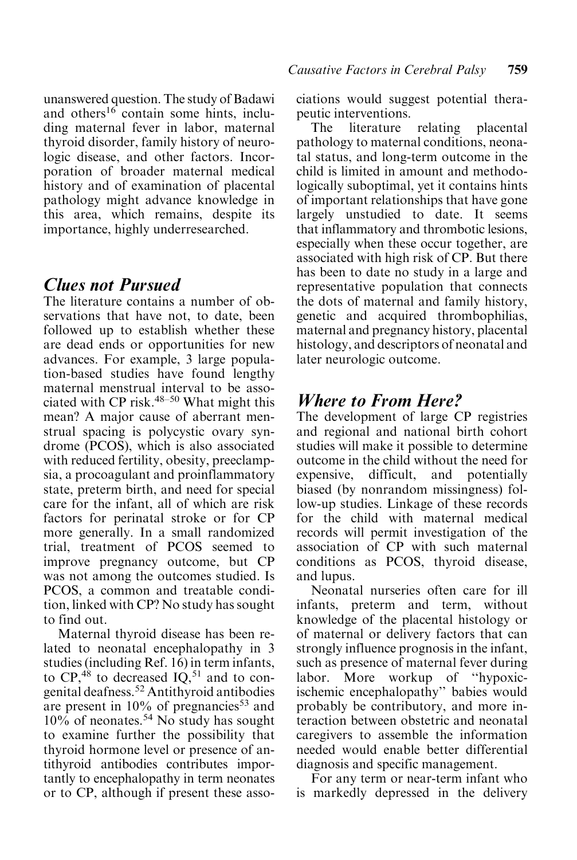unanswered question. The study of Badawi and others<sup>16</sup> contain some hints, including maternal fever in labor, maternal thyroid disorder, family history of neurologic disease, and other factors. Incorporation of broader maternal medical history and of examination of placental pathology might advance knowledge in this area, which remains, despite its importance, highly underresearched.

#### Clues not Pursued

The literature contains a number of observations that have not, to date, been followed up to establish whether these are dead ends or opportunities for new advances. For example, 3 large population-based studies have found lengthy maternal menstrual interval to be associated with CP risk.48–50 What might this mean? A major cause of aberrant menstrual spacing is polycystic ovary syndrome (PCOS), which is also associated with reduced fertility, obesity, preeclampsia, a procoagulant and proinflammatory state, preterm birth, and need for special care for the infant, all of which are risk factors for perinatal stroke or for CP more generally. In a small randomized trial, treatment of PCOS seemed to improve pregnancy outcome, but CP was not among the outcomes studied. Is PCOS, a common and treatable condition, linked with CP? No study has sought to find out.

Maternal thyroid disease has been related to neonatal encephalopathy in 3 studies (including Ref. 16) in term infants, to  $CP<sub>148</sub>$  to decreased  $IO<sub>251</sub>$  and to congenital deafness.52 Antithyroid antibodies are present in  $10\%$  of pregnancies<sup>53</sup> and  $10\%$  of neonates.<sup>54</sup> No study has sought to examine further the possibility that thyroid hormone level or presence of antithyroid antibodies contributes importantly to encephalopathy in term neonates or to CP, although if present these associations would suggest potential therapeutic interventions.

The literature relating placental pathology to maternal conditions, neonatal status, and long-term outcome in the child is limited in amount and methodologically suboptimal, yet it contains hints of important relationships that have gone largely unstudied to date. It seems that inflammatory and thrombotic lesions, especially when these occur together, are associated with high risk of CP. But there has been to date no study in a large and representative population that connects the dots of maternal and family history, genetic and acquired thrombophilias, maternal and pregnancy history, placental histology, and descriptors of neonatal and later neurologic outcome.

## Where to From Here?

The development of large CP registries and regional and national birth cohort studies will make it possible to determine outcome in the child without the need for expensive, difficult, and potentially biased (by nonrandom missingness) follow-up studies. Linkage of these records for the child with maternal medical records will permit investigation of the association of CP with such maternal conditions as PCOS, thyroid disease, and lupus.

Neonatal nurseries often care for ill infants, preterm and term, without knowledge of the placental histology or of maternal or delivery factors that can strongly influence prognosis in the infant, such as presence of maternal fever during labor. More workup of ''hypoxicischemic encephalopathy'' babies would probably be contributory, and more interaction between obstetric and neonatal caregivers to assemble the information needed would enable better differential diagnosis and specific management.

For any term or near-term infant who is markedly depressed in the delivery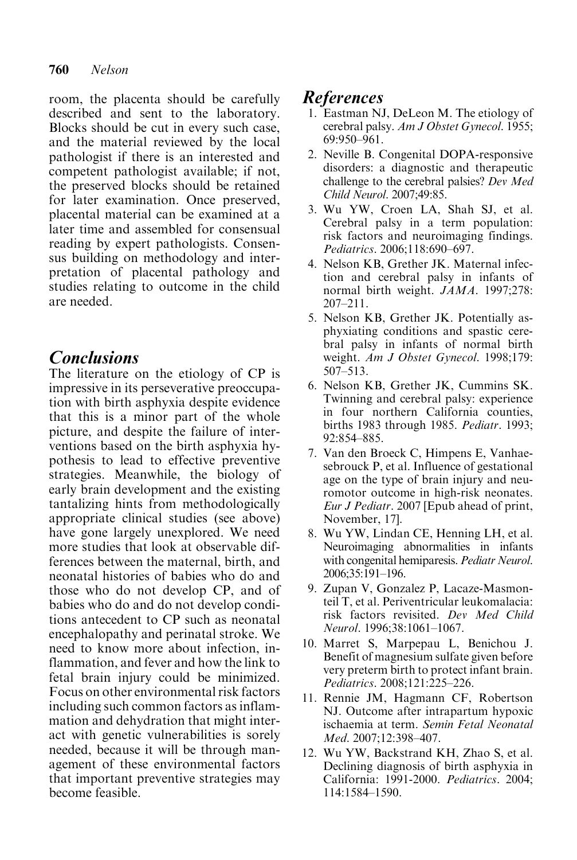#### 760 Nelson

room, the placenta should be carefully described and sent to the laboratory. Blocks should be cut in every such case, and the material reviewed by the local pathologist if there is an interested and competent pathologist available; if not, the preserved blocks should be retained for later examination. Once preserved, placental material can be examined at a later time and assembled for consensual reading by expert pathologists. Consensus building on methodology and interpretation of placental pathology and studies relating to outcome in the child are needed.

# **Conclusions**

The literature on the etiology of CP is impressive in its perseverative preoccupation with birth asphyxia despite evidence that this is a minor part of the whole picture, and despite the failure of interventions based on the birth asphyxia hypothesis to lead to effective preventive strategies. Meanwhile, the biology of early brain development and the existing tantalizing hints from methodologically appropriate clinical studies (see above) have gone largely unexplored. We need more studies that look at observable differences between the maternal, birth, and neonatal histories of babies who do and those who do not develop CP, and of babies who do and do not develop conditions antecedent to CP such as neonatal encephalopathy and perinatal stroke. We need to know more about infection, inflammation, and fever and how the link to fetal brain injury could be minimized. Focus on other environmental risk factors including such common factors as inflammation and dehydration that might interact with genetic vulnerabilities is sorely needed, because it will be through management of these environmental factors that important preventive strategies may become feasible.

## References

- 1. Eastman NJ, DeLeon M. The etiology of cerebral palsy. Am J Obstet Gynecol. 1955; 69:950–961.
- 2. Neville B. Congenital DOPA-responsive disorders: a diagnostic and therapeutic challenge to the cerebral palsies? Dev Med Child Neurol. 2007;49:85.
- 3. Wu YW, Croen LA, Shah SJ, et al. Cerebral palsy in a term population: risk factors and neuroimaging findings. Pediatrics. 2006;118:690–697.
- 4. Nelson KB, Grether JK. Maternal infection and cerebral palsy in infants of normal birth weight. JAMA. 1997;278: 207–211.
- 5. Nelson KB, Grether JK. Potentially asphyxiating conditions and spastic cerebral palsy in infants of normal birth weight. Am J Obstet Gynecol. 1998;179: 507–513.
- 6. Nelson KB, Grether JK, Cummins SK. Twinning and cerebral palsy: experience in four northern California counties, births 1983 through 1985. Pediatr. 1993; 92:854–885.
- 7. Van den Broeck C, Himpens E, Vanhaesebrouck P, et al. Influence of gestational age on the type of brain injury and neuromotor outcome in high-risk neonates. Eur J Pediatr. 2007 [Epub ahead of print, November, 17].
- 8. Wu YW, Lindan CE, Henning LH, et al. Neuroimaging abnormalities in infants with congenital hemiparesis. Pediatr Neurol. 2006;35:191–196.
- 9. Zupan V, Gonzalez P, Lacaze-Masmonteil T, et al. Periventricular leukomalacia: risk factors revisited. Dev Med Child Neurol. 1996;38:1061–1067.
- 10. Marret S, Marpepau L, Benichou J. Benefit of magnesium sulfate given before very preterm birth to protect infant brain. Pediatrics. 2008;121:225–226.
- 11. Rennie JM, Hagmann CF, Robertson NJ. Outcome after intrapartum hypoxic ischaemia at term. Semin Fetal Neonatal Med. 2007;12:398–407.
- 12. Wu YW, Backstrand KH, Zhao S, et al. Declining diagnosis of birth asphyxia in California: 1991-2000. Pediatrics. 2004; 114:1584–1590.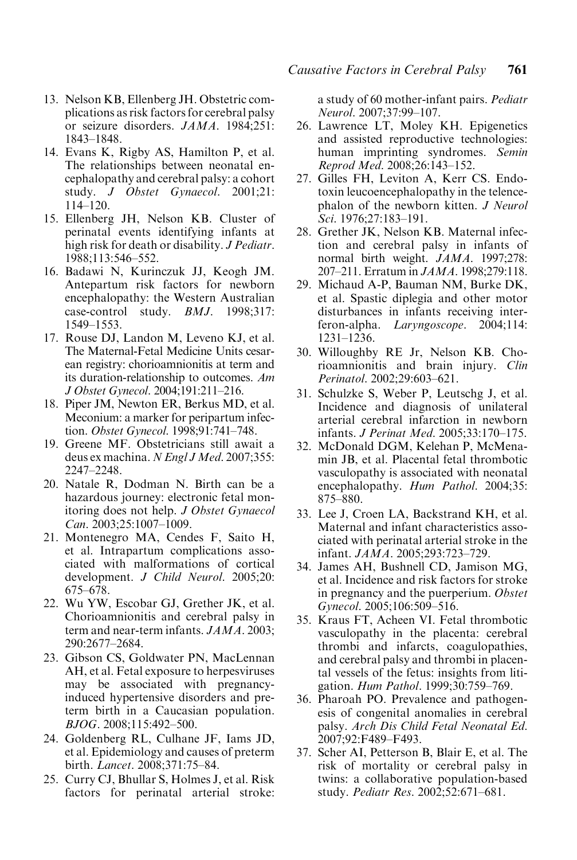- 13. Nelson KB, Ellenberg JH. Obstetric complications as risk factors for cerebral palsy or seizure disorders. JAMA. 1984;251: 1843–1848.
- 14. Evans K, Rigby AS, Hamilton P, et al. The relationships between neonatal encephalopathy and cerebral palsy: a cohort study. J Obstet Gynaecol. 2001;21: 114–120.
- 15. Ellenberg JH, Nelson KB. Cluster of perinatal events identifying infants at high risk for death or disability. J Pediatr. 1988;113:546–552.
- 16. Badawi N, Kurinczuk JJ, Keogh JM. Antepartum risk factors for newborn encephalopathy: the Western Australian case-control study. *BMJ*. 1998;317: 1549–1553.
- 17. Rouse DJ, Landon M, Leveno KJ, et al. The Maternal-Fetal Medicine Units cesarean registry: chorioamnionitis at term and its duration-relationship to outcomes. Am J Obstet Gynecol. 2004;191:211–216.
- 18. Piper JM, Newton ER, Berkus MD, et al. Meconium: a marker for peripartum infection. Obstet Gynecol. 1998;91:741–748.
- 19. Greene MF. Obstetricians still await a deus ex machina. N Engl J Med. 2007;355: 2247–2248.
- 20. Natale R, Dodman N. Birth can be a hazardous journey: electronic fetal monitoring does not help. J Obstet Gynaecol Can. 2003;25:1007–1009.
- 21. Montenegro MA, Cendes F, Saito H, et al. Intrapartum complications associated with malformations of cortical development. J Child Neurol. 2005;20: 675–678.
- 22. Wu YW, Escobar GJ, Grether JK, et al. Chorioamnionitis and cerebral palsy in term and near-term infants. JAMA. 2003; 290:2677–2684.
- 23. Gibson CS, Goldwater PN, MacLennan AH, et al. Fetal exposure to herpesviruses may be associated with pregnancyinduced hypertensive disorders and preterm birth in a Caucasian population. BJOG. 2008;115:492–500.
- 24. Goldenberg RL, Culhane JF, Iams JD, et al. Epidemiology and causes of preterm birth. Lancet. 2008;371:75–84.
- 25. Curry CJ, Bhullar S, Holmes J, et al. Risk factors for perinatal arterial stroke:

a study of 60 mother-infant pairs. Pediatr Neurol. 2007;37:99–107.

- 26. Lawrence LT, Moley KH. Epigenetics and assisted reproductive technologies: human imprinting syndromes. Semin Reprod Med. 2008;26:143–152.
- 27. Gilles FH, Leviton A, Kerr CS. Endotoxin leucoencephalopathy in the telencephalon of the newborn kitten. J Neurol Sci. 1976:27:183-191.
- 28. Grether JK, Nelson KB. Maternal infection and cerebral palsy in infants of normal birth weight. JAMA. 1997;278: 207–211. Erratum in JAMA. 1998;279:118.
- 29. Michaud A-P, Bauman NM, Burke DK, et al. Spastic diplegia and other motor disturbances in infants receiving interferon-alpha. Laryngoscope. 2004;114: 1231–1236.
- 30. Willoughby RE Jr, Nelson KB. Chorioamnionitis and brain injury. Clin Perinatol. 2002;29:603–621.
- 31. Schulzke S, Weber P, Leutschg J, et al. Incidence and diagnosis of unilateral arterial cerebral infarction in newborn infants. J Perinat Med. 2005;33:170–175.
- 32. McDonald DGM, Kelehan P, McMenamin JB, et al. Placental fetal thrombotic vasculopathy is associated with neonatal encephalopathy. Hum Pathol. 2004;35: 875–880.
- 33. Lee J, Croen LA, Backstrand KH, et al. Maternal and infant characteristics associated with perinatal arterial stroke in the infant. JAMA. 2005;293:723–729.
- 34. James AH, Bushnell CD, Jamison MG, et al. Incidence and risk factors for stroke in pregnancy and the puerperium. Obstet Gynecol. 2005;106:509–516.
- 35. Kraus FT, Acheen VI. Fetal thrombotic vasculopathy in the placenta: cerebral thrombi and infarcts, coagulopathies, and cerebral palsy and thrombi in placental vessels of the fetus: insights from litigation. Hum Pathol. 1999;30:759-769.
- 36. Pharoah PO. Prevalence and pathogenesis of congenital anomalies in cerebral palsy. Arch Dis Child Fetal Neonatal Ed. 2007;92:F489–F493.
- 37. Scher AI, Petterson B, Blair E, et al. The risk of mortality or cerebral palsy in twins: a collaborative population-based study. Pediatr Res. 2002;52:671–681.